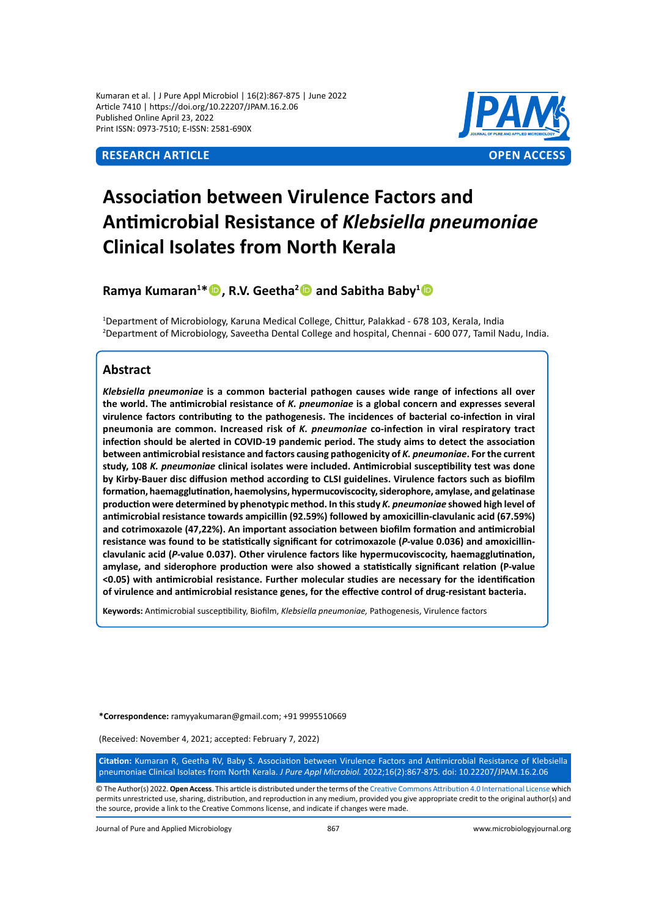Kumaran et al. | J Pure Appl Microbiol | 16(2):867-875 | June 2022 Article 7410 | https://doi.org/10.22207/JPAM.16.2.06 Published Online April 23, 2022 Print ISSN: 0973-7510; E-ISSN: 2581-690X



# **Association between Virulence Factors and Antimicrobial Resistance of** *Klebsiella pneumoniae* **Clinical Isolates from North Kerala**

**Ramya Kumaran<sup>1</sup> \*, R.V. Geetha<sup>2</sup> and Sabitha Baby<sup>1</sup>**

1 Department of Microbiology, Karuna Medical College, Chittur, Palakkad - 678 103, Kerala, India 2 Department of Microbiology, Saveetha Dental College and hospital, Chennai - 600 077, Tamil Nadu, India.

# **Abstract**

*Klebsiella pneumoniae* **is a common bacterial pathogen causes wide range of infections all over the world. The antimicrobial resistance of** *K. pneumoniae* **is a global concern and expresses several virulence factors contributing to the pathogenesis. The incidences of bacterial co-infection in viral pneumonia are common. Increased risk of** *K. pneumoniae* **co-infection in viral respiratory tract infection should be alerted in COVID-19 pandemic period. The study aims to detect the association between antimicrobial resistance and factors causing pathogenicity of** *K. pneumoniae***. For the current study, 108** *K. pneumoniae* **clinical isolates were included. Antimicrobial susceptibility test was done by Kirby-Bauer disc diffusion method according to CLSI guidelines. Virulence factors such as biofilm formation, haemagglutination, haemolysins, hypermucoviscocity, siderophore, amylase, and gelatinase production were determined by phenotypic method. In this study** *K. pneumoniae* **showed high level of antimicrobial resistance towards ampicillin (92.59%) followed by amoxicillin-clavulanic acid (67.59%) and cotrimoxazole (47,22%). An important association between biofilm formation and antimicrobial resistance was found to be statistically significant for cotrimoxazole (***P-***value 0.036) and amoxicillinclavulanic acid (***P-***value 0.037). Other virulence factors like hypermucoviscocity, haemagglutination, amylase, and siderophore production were also showed a statistically significant relation (P-value <0.05) with antimicrobial resistance. Further molecular studies are necessary for the identification of virulence and antimicrobial resistance genes, for the effective control of drug-resistant bacteria.** 

**Keywords:** Antimicrobial susceptibility, Biofilm, *Klebsiella pneumoniae,* Pathogenesis, Virulence factors

**\*Correspondence:** ramyyakumaran@gmail.com; +91 9995510669

(Received: November 4, 2021; accepted: February 7, 2022)

**Citation:** Kumaran R, Geetha RV, Baby S. Association between Virulence Factors and Antimicrobial Resistance of Klebsiella pneumoniae Clinical Isolates from North Kerala. *J Pure Appl Microbiol.* 2022;16(2):867-875. doi: 10.22207/JPAM.16.2.06

© The Author(s) 2022. **Open Access**. This article is distributed under the terms of the [Creative Commons Attribution 4.0 International License](https://creativecommons.org/licenses/by/4.0/) which permits unrestricted use, sharing, distribution, and reproduction in any medium, provided you give appropriate credit to the original author(s) and the source, provide a link to the Creative Commons license, and indicate if changes were made.

Journal of Pure and Applied Microbiology 867 www.microbiologyjournal.org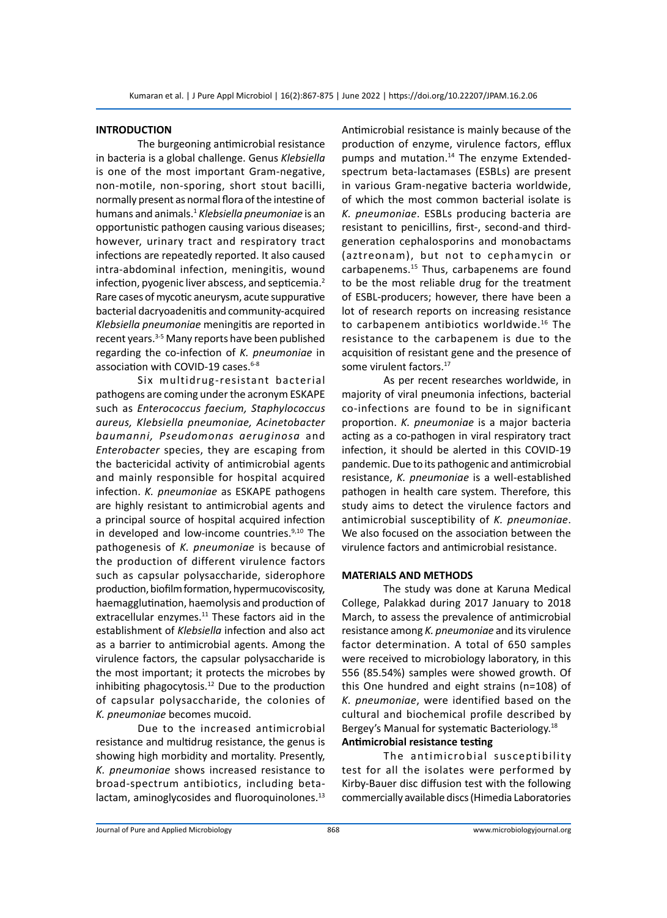# **INTRODUCTION**

The burgeoning antimicrobial resistance in bacteria is a global challenge. Genus *Klebsiella*  is one of the most important Gram-negative, non-motile, non-sporing, short stout bacilli, normally present as normal flora of the intestine of humans and animals.1 *Klebsiella pneumoniae* is an opportunistic pathogen causing various diseases; however, urinary tract and respiratory tract infections are repeatedly reported. It also caused intra-abdominal infection, meningitis, wound infection, pyogenic liver abscess, and septicemia. $2$ Rare cases of mycotic aneurysm, acute suppurative bacterial dacryoadenitis and community-acquired *Klebsiella pneumoniae* meningitis are reported in recent years.<sup>3-5</sup> Many reports have been published regarding the co-infection of *K. pneumoniae* in association with COVID-19 cases.<sup>6-8</sup>

Six multidrug-resistant bacterial pathogens are coming under the acronym ESKAPE such as *Enterococcus faecium, Staphylococcus aureus, Klebsiella pneumoniae, Acinetobacter baumanni, Pseudomonas aeruginosa* and *Enterobacter* species, they are escaping from the bactericidal activity of antimicrobial agents and mainly responsible for hospital acquired infection. *K. pneumoniae* as ESKAPE pathogens are highly resistant to antimicrobial agents and a principal source of hospital acquired infection in developed and low-income countries.<sup>9,10</sup> The pathogenesis of *K. pneumoniae* is because of the production of different virulence factors such as capsular polysaccharide, siderophore production, biofilm formation, hypermucoviscosity, haemagglutination, haemolysis and production of extracellular enzymes.<sup>11</sup> These factors aid in the establishment of *Klebsiella* infection and also act as a barrier to antimicrobial agents. Among the virulence factors, the capsular polysaccharide is the most important; it protects the microbes by inhibiting phagocytosis. $12$  Due to the production of capsular polysaccharide, the colonies of *K. pneumoniae* becomes mucoid.

Due to the increased antimicrobial resistance and multidrug resistance, the genus is showing high morbidity and mortality. Presently, *K. pneumoniae* shows increased resistance to broad-spectrum antibiotics, including betalactam, aminoglycosides and fluoroquinolones.<sup>13</sup> Antimicrobial resistance is mainly because of the production of enzyme, virulence factors, efflux pumps and mutation.<sup>14</sup> The enzyme Extendedspectrum beta-lactamases (ESBLs) are present in various Gram-negative bacteria worldwide, of which the most common bacterial isolate is *K. pneumoniae*. ESBLs producing bacteria are resistant to penicillins, first-, second-and thirdgeneration cephalosporins and monobactams (aztreonam), but not to cephamycin or carbapenems.15 Thus, carbapenems are found to be the most reliable drug for the treatment of ESBL-producers; however, there have been a lot of research reports on increasing resistance to carbapenem antibiotics worldwide.<sup>16</sup> The resistance to the carbapenem is due to the acquisition of resistant gene and the presence of some virulent factors.<sup>17</sup>

As per recent researches worldwide, in majority of viral pneumonia infections, bacterial co-infections are found to be in significant proportion. *K. pneumoniae* is a major bacteria acting as a co-pathogen in viral respiratory tract infection, it should be alerted in this COVID-19 pandemic. Due to its pathogenic and antimicrobial resistance, *K. pneumoniae* is a well-established pathogen in health care system. Therefore, this study aims to detect the virulence factors and antimicrobial susceptibility of *K. pneumoniae*. We also focused on the association between the virulence factors and antimicrobial resistance.

#### **MATERIALS AND METHODS**

The study was done at Karuna Medical College, Palakkad during 2017 January to 2018 March, to assess the prevalence of antimicrobial resistance among *K. pneumoniae* and its virulence factor determination. A total of 650 samples were received to microbiology laboratory, in this 556 (85.54%) samples were showed growth. Of this One hundred and eight strains (n=108) of *K. pneumoniae*, were identified based on the cultural and biochemical profile described by Bergey's Manual for systematic Bacteriology.<sup>18</sup> **Antimicrobial resistance testing**

The antimicrobial susceptibility test for all the isolates were performed by Kirby-Bauer disc diffusion test with the following commercially available discs (Himedia Laboratories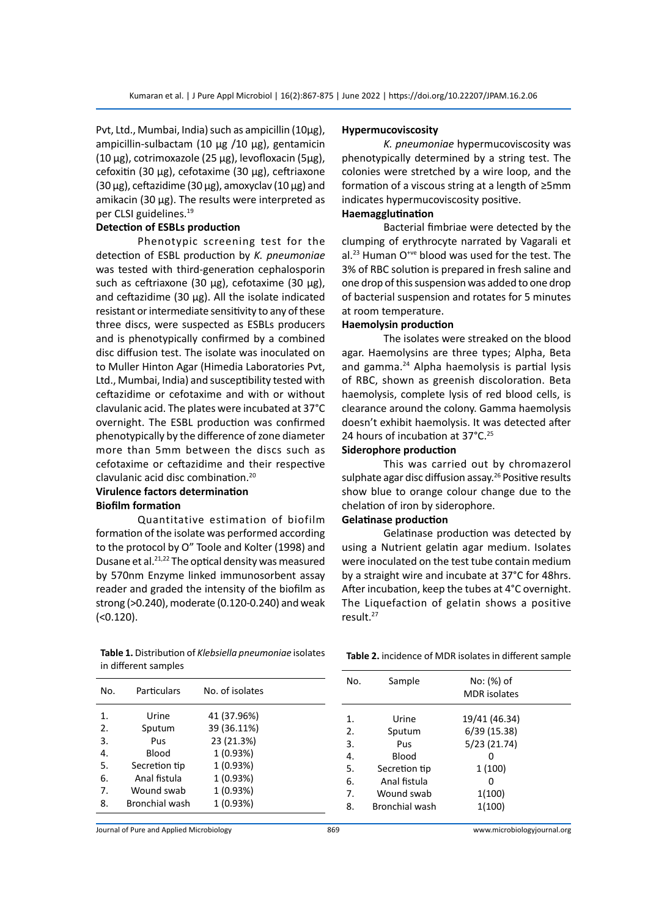Pvt, Ltd., Mumbai, India) such as ampicillin (10µg), ampicillin-sulbactam (10 µg /10 µg), gentamicin (10 µg), cotrimoxazole (25 µg), levofloxacin (5µg), cefoxitin (30 µg), cefotaxime (30 µg), ceftriaxone  $(30 \,\mu g)$ , ceftazidime  $(30 \,\mu g)$ , amoxyclav  $(10 \,\mu g)$  and amikacin (30 µg). The results were interpreted as per CLSI guidelines.<sup>19</sup>

# **Detection of ESBLs production**

Phenotypic screening test for the detection of ESBL production by *K. pneumoniae* was tested with third-generation cephalosporin such as ceftriaxone (30  $\mu$ g), cefotaxime (30  $\mu$ g), and ceftazidime (30 µg). All the isolate indicated resistant or intermediate sensitivity to any of these three discs, were suspected as ESBLs producers and is phenotypically confirmed by a combined disc diffusion test. The isolate was inoculated on to Muller Hinton Agar (Himedia Laboratories Pvt, Ltd., Mumbai, India) and susceptibility tested with ceftazidime or cefotaxime and with or without clavulanic acid. The plates were incubated at 37°C overnight. The ESBL production was confirmed phenotypically by the difference of zone diameter more than 5mm between the discs such as cefotaxime or ceftazidime and their respective clavulanic acid disc combination.<sup>20</sup>

#### **Virulence factors determination Biofilm formation**

Quantitative estimation of biofilm formation of the isolate was performed according to the protocol by O" Toole and Kolter (1998) and Dusane et al.<sup>21,22</sup> The optical density was measured by 570nm Enzyme linked immunosorbent assay reader and graded the intensity of the biofilm as strong (>0.240), moderate (0.120-0.240) and weak (<0.120).

**Table 1.** Distribution of *Klebsiella pneumoniae* isolates in different samples

| No. | Particulars    | No. of isolates |  |
|-----|----------------|-----------------|--|
| 1.  | Urine          | 41 (37.96%)     |  |
| 2.  | Sputum         | 39 (36.11%)     |  |
| 3.  | Pus            | 23 (21.3%)      |  |
| 4.  | Blood          | 1 (0.93%)       |  |
| 5.  | Secretion tip  | 1 (0.93%)       |  |
| 6.  | Anal fistula   | 1 (0.93%)       |  |
| 7.  | Wound swab     | 1 (0.93%)       |  |
| 8.  | Bronchial wash | 1 (0.93%)       |  |
|     |                |                 |  |

#### **Hypermucoviscosity**

*K. pneumoniae* hypermucoviscosity was phenotypically determined by a string test. The colonies were stretched by a wire loop, and the formation of a viscous string at a length of ≥5mm indicates hypermucoviscosity positive.

#### **Haemagglutination**

Bacterial fimbriae were detected by the clumping of erythrocyte narrated by Vagarali et al.<sup>23</sup> Human O<sup>+ve</sup> blood was used for the test. The 3% of RBC solution is prepared in fresh saline and one drop of this suspension was added to one drop of bacterial suspension and rotates for 5 minutes at room temperature.

# **Haemolysin production**

The isolates were streaked on the blood agar. Haemolysins are three types; Alpha, Beta and gamma.24 Alpha haemolysis is partial lysis of RBC, shown as greenish discoloration. Beta haemolysis, complete lysis of red blood cells, is clearance around the colony. Gamma haemolysis doesn't exhibit haemolysis. It was detected after 24 hours of incubation at 37°C.<sup>25</sup>

#### **Siderophore production**

This was carried out by chromazerol sulphate agar disc diffusion assay.<sup>26</sup> Positive results show blue to orange colour change due to the chelation of iron by siderophore.

#### **Gelatinase production**

Gelatinase production was detected by using a Nutrient gelatin agar medium. Isolates were inoculated on the test tube contain medium by a straight wire and incubate at 37°C for 48hrs. After incubation, keep the tubes at 4°C overnight. The Liquefaction of gelatin shows a positive result.<sup>27</sup>

**Table 2.** incidence of MDR isolates in different sample

| No. | Sample                | No: (%) of<br><b>MDR</b> isolates |  |
|-----|-----------------------|-----------------------------------|--|
| 1.  | Urine                 | 19/41 (46.34)                     |  |
| 2.  | Sputum                | 6/39 (15.38)                      |  |
| 3.  | Pus                   | 5/23 (21.74)                      |  |
| 4.  | Blood                 |                                   |  |
| 5.  | Secretion tip         | 1(100)                            |  |
| 6.  | Anal fistula          | n                                 |  |
| 7.  | Wound swab            | 1(100)                            |  |
| 8.  | <b>Bronchial wash</b> | 1(100)                            |  |

Journal of Pure and Applied Microbiology 869 www.microbiologyjournal.org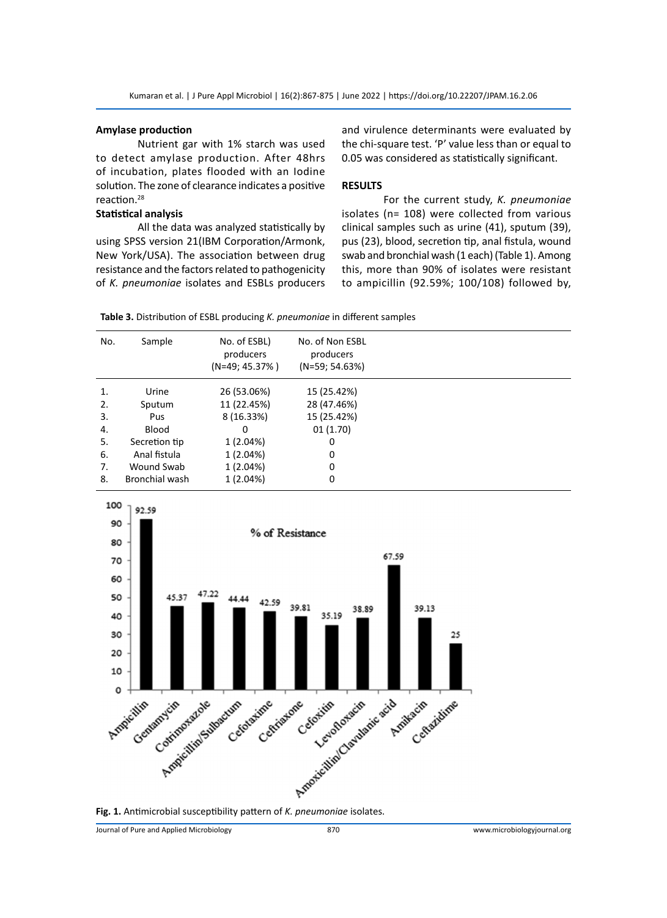#### **Amylase production**

Nutrient gar with 1% starch was used to detect amylase production. After 48hrs of incubation, plates flooded with an Iodine solution. The zone of clearance indicates a positive reaction.<sup>28</sup>

#### **Statistical analysis**

All the data was analyzed statistically by using SPSS version 21(IBM Corporation/Armonk, New York/USA). The association between drug resistance and the factors related to pathogenicity of *K. pneumoniae* isolates and ESBLs producers and virulence determinants were evaluated by the chi-square test. 'P' value less than or equal to 0.05 was considered as statistically significant.

# **RESULTS**

For the current study, *K. pneumoniae* isolates (n= 108) were collected from various clinical samples such as urine (41), sputum (39), pus (23), blood, secretion tip, anal fistula, wound swab and bronchial wash (1 each) (Table 1). Among this, more than 90% of isolates were resistant to ampicillin (92.59%; 100/108) followed by,

**Table 3.** Distribution of ESBL producing *K. pneumoniae* in different samples

| No. | Sample                | No. of ESBL)<br>producers<br>$(N=49; 45.37%)$ | No. of Non ESBL<br>producers<br>$(N=59; 54.63%)$ |
|-----|-----------------------|-----------------------------------------------|--------------------------------------------------|
| 1.  | Urine                 | 26 (53.06%)                                   | 15 (25.42%)                                      |
| 2.  | Sputum                | 11 (22.45%)                                   | 28 (47.46%)                                      |
| 3.  | Pus                   | 8 (16.33%)                                    | 15 (25.42%)                                      |
| 4.  | <b>Blood</b>          | 0                                             | 01(1.70)                                         |
| 5.  | Secretion tip         | 1 (2.04%)                                     | 0                                                |
| 6.  | Anal fistula          | 1 (2.04%)                                     | 0                                                |
| 7.  | Wound Swab            | 1 (2.04%)                                     | 0                                                |
| 8.  | <b>Bronchial wash</b> | 1(2.04%)                                      | 0                                                |
|     |                       |                                               |                                                  |

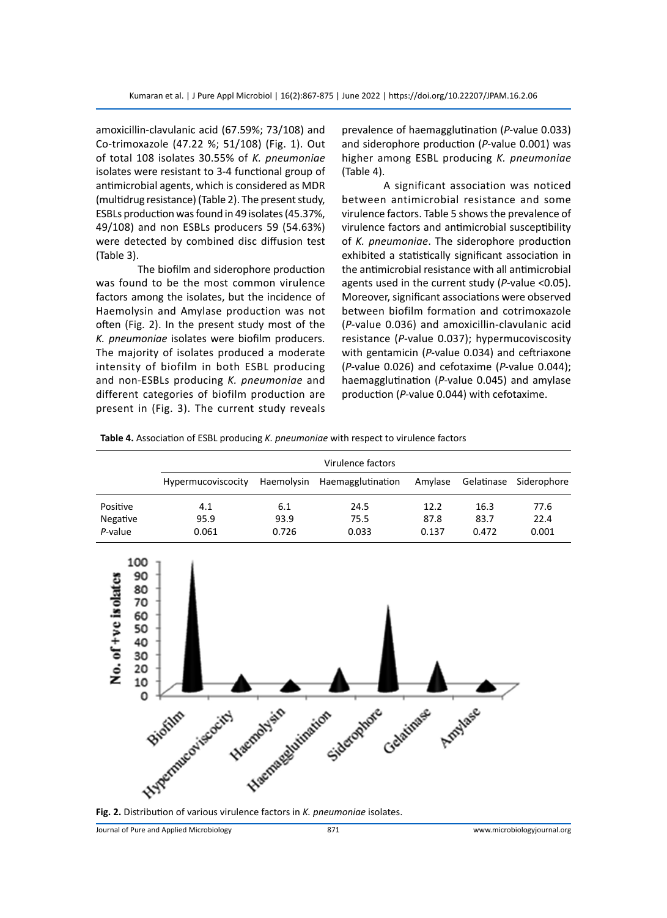amoxicillin-clavulanic acid (67.59%; 73/108) and Co-trimoxazole (47.22 %; 51/108) (Fig. 1). Out of total 108 isolates 30.55% of *K. pneumoniae* isolates were resistant to 3-4 functional group of antimicrobial agents, which is considered as MDR (multidrug resistance) (Table 2). The present study, ESBLs production was found in 49 isolates (45.37%, 49/108) and non ESBLs producers 59 (54.63%) were detected by combined disc diffusion test (Table 3).

The biofilm and siderophore production was found to be the most common virulence factors among the isolates, but the incidence of Haemolysin and Amylase production was not often (Fig. 2). In the present study most of the *K. pneumoniae* isolates were biofilm producers. The majority of isolates produced a moderate intensity of biofilm in both ESBL producing and non-ESBLs producing *K. pneumoniae* and different categories of biofilm production are present in (Fig. 3). The current study reveals

prevalence of haemagglutination (*P-*value 0.033) and siderophore production (*P-*value 0.001) was higher among ESBL producing *K. pneumoniae* (Table 4).

A significant association was noticed between antimicrobial resistance and some virulence factors. Table 5 shows the prevalence of virulence factors and antimicrobial susceptibility of *K. pneumoniae*. The siderophore production exhibited a statistically significant association in the antimicrobial resistance with all antimicrobial agents used in the current study (*P-*value <0.05). Moreover, significant associations were observed between biofilm formation and cotrimoxazole (*P-*value 0.036) and amoxicillin-clavulanic acid resistance (*P-*value 0.037); hypermucoviscosity with gentamicin (*P-*value 0.034) and ceftriaxone (*P-*value 0.026) and cefotaxime (*P-*value 0.044); haemagglutination (*P-*value 0.045) and amylase production (*P-*value 0.044) with cefotaxime.

**Table 4.** Association of ESBL producing *K. pneumoniae* with respect to virulence factors

|          | Virulence factors  |       |                              |         |            |             |  |
|----------|--------------------|-------|------------------------------|---------|------------|-------------|--|
|          | Hypermucoviscocity |       | Haemolysin Haemagglutination | Amvlase | Gelatinase | Siderophore |  |
| Positive | 4.1                | 6.1   | 24.5                         | 12.2    | 16.3       | 77.6        |  |
| Negative | 95.9               | 93.9  | 75.5                         | 87.8    | 83.7       | 22.4        |  |
| P-value  | 0.061              | 0.726 | 0.033                        | 0.137   | 0.472      | 0.001       |  |



**Fig. 2.** Distribution of various virulence factors in *K. pneumoniae* isolates.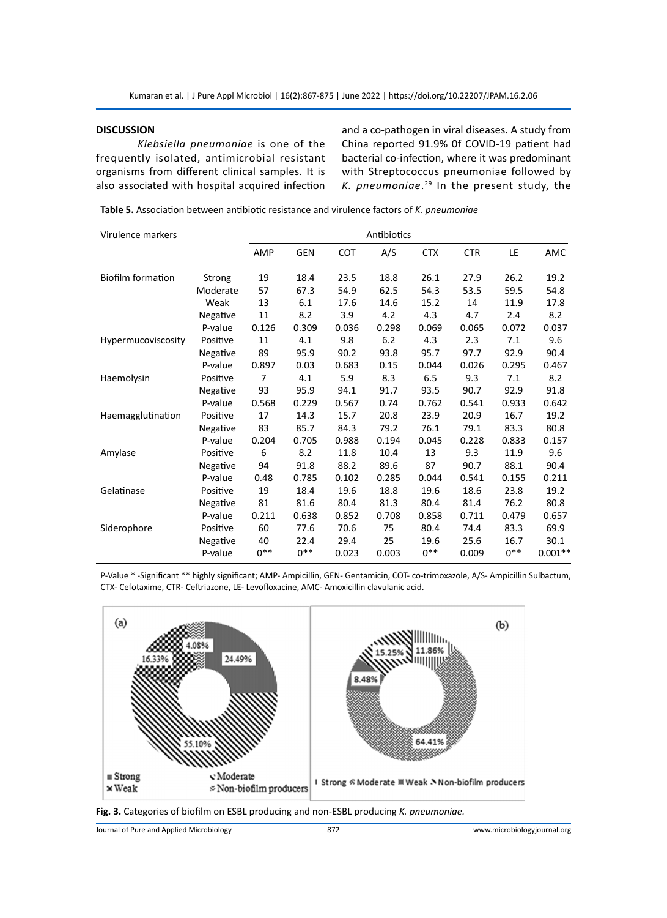# **DISCUSSION**

*Klebsiella pneumoniae* is one of the frequently isolated, antimicrobial resistant organisms from different clinical samples. It is also associated with hospital acquired infection and a co-pathogen in viral diseases. A study from China reported 91.9% 0f COVID-19 patient had bacterial co-infection, where it was predominant with Streptococcus pneumoniae followed by *K. pneumoniae*. 29 In the present study, the

**Table 5.** Association between antibiotic resistance and virulence factors of *K. pneumoniae*

| Virulence markers        | Antibiotics |       |            |            |       |            |            |        |           |
|--------------------------|-------------|-------|------------|------------|-------|------------|------------|--------|-----------|
|                          |             | AMP   | <b>GEN</b> | <b>COT</b> | A/S   | <b>CTX</b> | <b>CTR</b> | LE     | AMC       |
| <b>Biofilm formation</b> | Strong      | 19    | 18.4       | 23.5       | 18.8  | 26.1       | 27.9       | 26.2   | 19.2      |
|                          | Moderate    | 57    | 67.3       | 54.9       | 62.5  | 54.3       | 53.5       | 59.5   | 54.8      |
|                          | Weak        | 13    | 6.1        | 17.6       | 14.6  | 15.2       | 14         | 11.9   | 17.8      |
|                          | Negative    | 11    | 8.2        | 3.9        | 4.2   | 4.3        | 4.7        | 2.4    | 8.2       |
|                          | P-value     | 0.126 | 0.309      | 0.036      | 0.298 | 0.069      | 0.065      | 0.072  | 0.037     |
| Hypermucoviscosity       | Positive    | 11    | 4.1        | 9.8        | 6.2   | 4.3        | 2.3        | 7.1    | 9.6       |
|                          | Negative    | 89    | 95.9       | 90.2       | 93.8  | 95.7       | 97.7       | 92.9   | 90.4      |
|                          | P-value     | 0.897 | 0.03       | 0.683      | 0.15  | 0.044      | 0.026      | 0.295  | 0.467     |
| Haemolysin               | Positive    | 7     | 4.1        | 5.9        | 8.3   | 6.5        | 9.3        | 7.1    | 8.2       |
|                          | Negative    | 93    | 95.9       | 94.1       | 91.7  | 93.5       | 90.7       | 92.9   | 91.8      |
|                          | P-value     | 0.568 | 0.229      | 0.567      | 0.74  | 0.762      | 0.541      | 0.933  | 0.642     |
| Haemagglutination        | Positive    | 17    | 14.3       | 15.7       | 20.8  | 23.9       | 20.9       | 16.7   | 19.2      |
|                          | Negative    | 83    | 85.7       | 84.3       | 79.2  | 76.1       | 79.1       | 83.3   | 80.8      |
|                          | P-value     | 0.204 | 0.705      | 0.988      | 0.194 | 0.045      | 0.228      | 0.833  | 0.157     |
| Amylase                  | Positive    | 6     | 8.2        | 11.8       | 10.4  | 13         | 9.3        | 11.9   | 9.6       |
|                          | Negative    | 94    | 91.8       | 88.2       | 89.6  | 87         | 90.7       | 88.1   | 90.4      |
|                          | P-value     | 0.48  | 0.785      | 0.102      | 0.285 | 0.044      | 0.541      | 0.155  | 0.211     |
| Gelatinase               | Positive    | 19    | 18.4       | 19.6       | 18.8  | 19.6       | 18.6       | 23.8   | 19.2      |
|                          | Negative    | 81    | 81.6       | 80.4       | 81.3  | 80.4       | 81.4       | 76.2   | 80.8      |
|                          | P-value     | 0.211 | 0.638      | 0.852      | 0.708 | 0.858      | 0.711      | 0.479  | 0.657     |
| Siderophore              | Positive    | 60    | 77.6       | 70.6       | 75    | 80.4       | 74.4       | 83.3   | 69.9      |
|                          | Negative    | 40    | 22.4       | 29.4       | 25    | 19.6       | 25.6       | 16.7   | 30.1      |
|                          | P-value     | $0**$ | $0***$     | 0.023      | 0.003 | $0***$     | 0.009      | $0***$ | $0.001**$ |

P-Value \* -Significant \*\* highly significant; AMP- Ampicillin, GEN- Gentamicin, COT- co-trimoxazole, A/S- Ampicillin Sulbactum, CTX- Cefotaxime, CTR- Ceftriazone, LE- Levofloxacine, AMC- Amoxicillin clavulanic acid.





Journal of Pure and Applied Microbiology 872 www.microbiologyjournal.org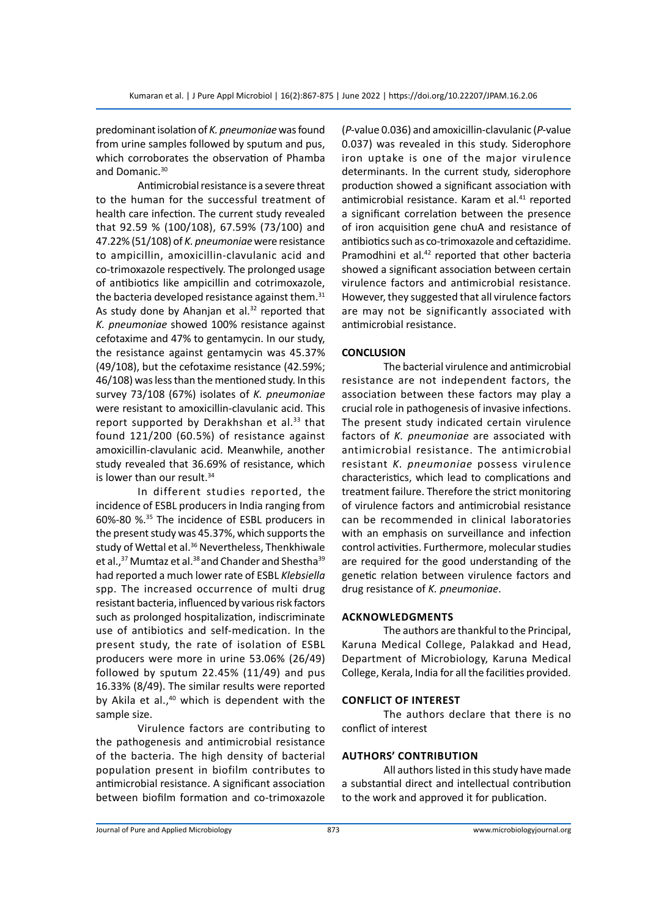predominant isolation of *K. pneumoniae* was found from urine samples followed by sputum and pus, which corroborates the observation of Phamba and Domanic.<sup>30</sup>

Antimicrobial resistance is a severe threat to the human for the successful treatment of health care infection. The current study revealed that 92.59 % (100/108), 67.59% (73/100) and 47.22% (51/108) of *K. pneumoniae* were resistance to ampicillin, amoxicillin-clavulanic acid and co-trimoxazole respectively. The prolonged usage of antibiotics like ampicillin and cotrimoxazole, the bacteria developed resistance against them.<sup>31</sup> As study done by Ahanjan et al. $32$  reported that *K. pneumoniae* showed 100% resistance against cefotaxime and 47% to gentamycin. In our study, the resistance against gentamycin was 45.37% (49/108), but the cefotaxime resistance (42.59%; 46/108) was less than the mentioned study. In this survey 73/108 (67%) isolates of *K. pneumoniae* were resistant to amoxicillin-clavulanic acid. This report supported by Derakhshan et al.<sup>33</sup> that found 121/200 (60.5%) of resistance against amoxicillin-clavulanic acid. Meanwhile, another study revealed that 36.69% of resistance, which is lower than our result.<sup>34</sup>

In different studies reported, the incidence of ESBL producers in India ranging from 60%-80 %.35 The incidence of ESBL producers in the present study was 45.37%, which supports the study of Wettal et al.<sup>36</sup> Nevertheless, Thenkhiwale et al.,<sup>37</sup> Mumtaz et al.<sup>38</sup> and Chander and Shestha<sup>39</sup> had reported a much lower rate of ESBL *Klebsiella* spp. The increased occurrence of multi drug resistant bacteria, influenced by various risk factors such as prolonged hospitalization, indiscriminate use of antibiotics and self-medication. In the present study, the rate of isolation of ESBL producers were more in urine 53.06% (26/49) followed by sputum 22.45% (11/49) and pus 16.33% (8/49). The similar results were reported by Akila et al., $40$  which is dependent with the sample size.

Virulence factors are contributing to the pathogenesis and antimicrobial resistance of the bacteria. The high density of bacterial population present in biofilm contributes to antimicrobial resistance. A significant association between biofilm formation and co-trimoxazole (*P-*value 0.036) and amoxicillin-clavulanic (*P-*value 0.037) was revealed in this study. Siderophore iron uptake is one of the major virulence determinants. In the current study, siderophore production showed a significant association with antimicrobial resistance. Karam et al.<sup>41</sup> reported a significant correlation between the presence of iron acquisition gene chuA and resistance of antibiotics such as co-trimoxazole and ceftazidime. Pramodhini et al.<sup>42</sup> reported that other bacteria showed a significant association between certain virulence factors and antimicrobial resistance. However, they suggested that all virulence factors are may not be significantly associated with antimicrobial resistance.

# **CONCLUSION**

The bacterial virulence and antimicrobial resistance are not independent factors, the association between these factors may play a crucial role in pathogenesis of invasive infections. The present study indicated certain virulence factors of *K. pneumoniae* are associated with antimicrobial resistance. The antimicrobial resistant *K. pneumoniae* possess virulence characteristics, which lead to complications and treatment failure. Therefore the strict monitoring of virulence factors and antimicrobial resistance can be recommended in clinical laboratories with an emphasis on surveillance and infection control activities. Furthermore, molecular studies are required for the good understanding of the genetic relation between virulence factors and drug resistance of *K. pneumoniae*.

#### **Acknowledgments**

The authors are thankful to the Principal, Karuna Medical College, Palakkad and Head, Department of Microbiology, Karuna Medical College, Kerala, India for all the facilities provided.

#### **Conflict of interest**

The authors declare that there is no conflict of interest

# **AuthorS' contribution**

All authors listed in this study have made a substantial direct and intellectual contribution to the work and approved it for publication.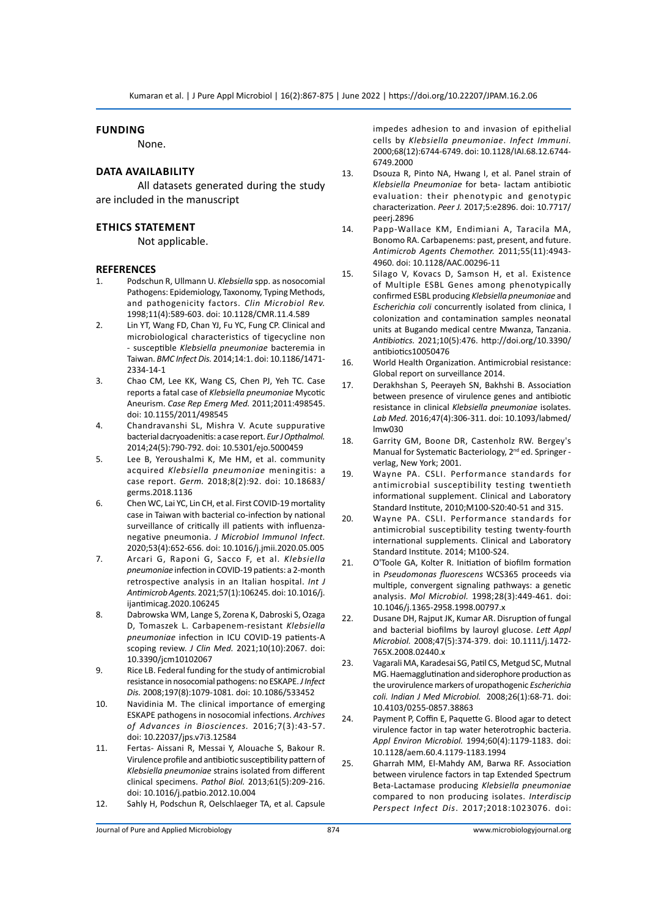# **Funding**

None.

# **Data availability**

All datasets generated during the study are included in the manuscript

# **Ethics statement**

Not applicable.

#### **REFERENCES**

- 1. Podschun R, Ullmann U. *Klebsiella* spp. as nosocomial Pathogens: Epidemiology, Taxonomy, Typing Methods, and pathogenicity factors. *Clin Microbiol Rev.* 1998;11(4):589-603. doi: 10.1128/CMR.11.4.589
- 2. Lin YT, Wang FD, Chan YJ, Fu YC, Fung CP. Clinical and microbiological characteristics of tigecycline non - susceptible *Klebsiella pneumoniae* bacteremia in Taiwan. *BMC Infect Dis.* 2014;14:1. doi: 10.1186/1471- 2334-14-1
- 3. Chao CM, Lee KK, Wang CS, Chen PJ, Yeh TC. Case reports a fatal case of *Klebsiella pneumoniae* Mycotic Aneurism. *Case Rep Emerg Med.* 2011;2011:498545. doi: 10.1155/2011/498545
- 4. Chandravanshi SL, Mishra V. Acute suppurative bacterial dacryoadenitis: a case report. *Eur J Opthalmol.*  2014;24(5):790-792. doi: 10.5301/ejo.5000459
- 5. Lee B, Yeroushalmi K, Me HM, et al. community acquired *Klebsiella pneumoniae* meningitis: a case report. *Germ.* 2018;8(2):92. doi: 10.18683/ germs.2018.1136
- 6. Chen WC, Lai YC, Lin CH, et al. First COVID-19 mortality case in Taiwan with bacterial co-infection by national surveillance of critically ill patients with influenzanegative pneumonia. *J Microbiol Immunol Infect.* 2020;53(4):652-656. doi: 10.1016/j.jmii.2020.05.005
- 7. Arcari G, Raponi G, Sacco F, et al. *Klebsiella pneumoniae* infection in COVID-19 patients: a 2-month retrospective analysis in an Italian hospital. *Int J Antimicrob Agents.* 2021;57(1):106245. doi: 10.1016/j. ijantimicag.2020.106245
- 8. Dabrowska WM, Lange S, Zorena K, Dabroski S, Ozaga D, Tomaszek L. Carbapenem-resistant *Klebsiella pneumoniae* infection in ICU COVID-19 patients-A scoping review. *J Clin Med.* 2021;10(10):2067. doi: 10.3390/jcm10102067
- 9. Rice LB. Federal funding for the study of antimicrobial resistance in nosocomial pathogens: no ESKAPE. *J Infect Dis.* 2008;197(8):1079-1081. doi: 10.1086/533452
- 10. Navidinia M. The clinical importance of emerging ESKAPE pathogens in nosocomial infections. *Archives of Advances in Biosciences.* 2016;7(3):43-57. doi: 10.22037/jps.v7i3.12584
- 11. Fertas- Aissani R, Messai Y, Alouache S, Bakour R. Virulence profile and antibiotic susceptibility pattern of *Klebsiella pneumoniae* strains isolated from different clinical specimens. *Pathol Biol.* 2013;61(5):209-216. doi: 10.1016/j.patbio.2012.10.004
- 12. Sahly H, Podschun R, Oelschlaeger TA, et al. Capsule

impedes adhesion to and invasion of epithelial cells by *Klebsiella pneumoniae*. *Infect Immuni.* 2000;68(12):6744-6749. doi: 10.1128/IAI.68.12.6744- 6749.2000

- 13. Dsouza R, Pinto NA, Hwang I, et al. Panel strain of *Klebsiella Pneumoniae* for beta- lactam antibiotic evaluation: their phenotypic and genotypic characterization. *Peer J.* 2017;5:e2896. doi: 10.7717/ peerj.2896
- 14. Papp-Wallace KM, Endimiani A, Taracila MA, Bonomo RA. Carbapenems: past, present, and future. *Antimicrob Agents Chemother.* 2011;55(11):4943- 4960. doi: 10.1128/AAC.00296-11
- 15. Silago V, Kovacs D, Samson H, et al. Existence of Multiple ESBL Genes among phenotypically confirmed ESBL producing *Klebsiella pneumoniae* and *Escherichia coli* concurrently isolated from clinica, l colonization and contamination samples neonatal units at Bugando medical centre Mwanza, Tanzania. *Antibiotics.* 2021;10(5):476. http://doi.org/10.3390/ antibiotics10050476
- 16. World Health Organization. Antimicrobial resistance: Global report on surveillance 2014.
- 17. Derakhshan S, Peerayeh SN, Bakhshi B. Association between presence of virulence genes and antibiotic resistance in clinical *Klebsiella pneumoniae* isolates. *Lab Med.* 2016;47(4):306-311. doi: 10.1093/labmed/ lmw030
- 18. Garrity GM, Boone DR, Castenholz RW. Bergey's Manual for Systematic Bacteriology, 2<sup>nd</sup> ed. Springer verlag, New York; 2001.
- 19. Wayne PA. CSLI. Performance standards for antimicrobial susceptibility testing twentieth informational supplement. Clinical and Laboratory Standard Institute, 2010;M100-S20:40-51 and 315.
- 20. Wayne PA. CSLI. Performance standards for antimicrobial susceptibility testing twenty-fourth international supplements. Clinical and Laboratory Standard Institute. 2014; M100-S24.
- 21. O'Toole GA, Kolter R. Initiation of biofilm formation in *Pseudomonas fluorescens* WCS365 proceeds via multiple, convergent signaling pathways: a genetic analysis. *Mol Microbiol.* 1998;28(3):449-461. doi: 10.1046/j.1365-2958.1998.00797.x
- 22. Dusane DH, Rajput JK, Kumar AR. Disruption of fungal and bacterial biofilms by lauroyl glucose. *Lett Appl Microbiol.* 2008;47(5):374-379. doi: 10.1111/j.1472- 765X.2008.02440.x
- 23. Vagarali MA, Karadesai SG, Patil CS, Metgud SC, Mutnal MG. Haemagglutination and siderophore production as the urovirulence markers of uropathogenic *Escherichia coli. Indian J Med Microbiol.* 2008;26(1):68-71. doi: 10.4103/0255-0857.38863
- 24. Payment P, Coffin E, Paquette G. Blood agar to detect virulence factor in tap water heterotrophic bacteria. *Appl Environ Microbiol.* 1994;60(4):1179-1183. doi: 10.1128/aem.60.4.1179-1183.1994
- 25. Gharrah MM, El-Mahdy AM, Barwa RF. Association between virulence factors in tap Extended Spectrum Beta-Lactamase producing *Klebsiella pneumoniae* compared to non producing isolates. *Interdiscip Perspect Infect Dis*. 2017;2018:1023076. doi: